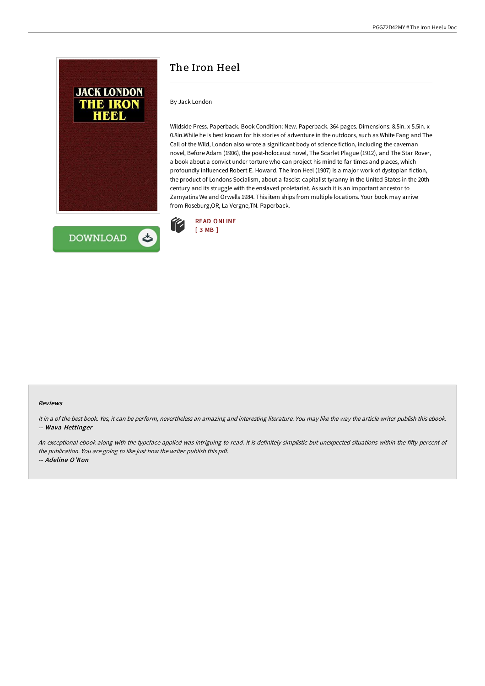



# The Iron Heel

By Jack London

Wildside Press. Paperback. Book Condition: New. Paperback. 364 pages. Dimensions: 8.5in. x 5.5in. x 0.8in.While he is best known for his stories of adventure in the outdoors, such as White Fang and The Call of the Wild, London also wrote a significant body of science fiction, including the caveman novel, Before Adam (1906), the post-holocaust novel, The Scarlet Plague (1912), and The Star Rover, a book about a convict under torture who can project his mind to far times and places, which profoundly influenced Robert E. Howard. The Iron Heel (1907) is a major work of dystopian fiction, the product of Londons Socialism, about a fascist-capitalist tyranny in the United States in the 20th century and its struggle with the enslaved proletariat. As such it is an important ancestor to Zamyatins We and Orwells 1984. This item ships from multiple locations. Your book may arrive from Roseburg,OR, La Vergne,TN. Paperback.



#### Reviews

It in <sup>a</sup> of the best book. Yes, it can be perform, nevertheless an amazing and interesting literature. You may like the way the article writer publish this ebook. -- Wava Hettinger

An exceptional ebook along with the typeface applied was intriguing to read. It is definitely simplistic but unexpected situations within the fifty percent of the publication. You are going to like just how the writer publish this pdf. -- Adeline O'Kon